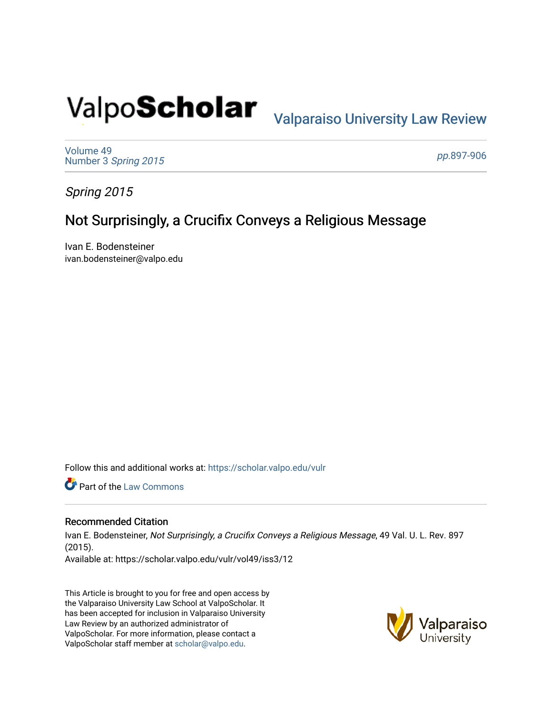# Valpo**Scholar** <sub>Valparaiso University Law Review</sub>

[Volume 49](https://scholar.valpo.edu/vulr/vol49) Number 3 [Spring 2015](https://scholar.valpo.edu/vulr/vol49/iss3) 

pp.[897-906](https://scholar.valpo.edu/vulr/vol49/iss3/12) 

Spring 2015

# Not Surprisingly, a Crucifix Conveys a Religious Message

Ivan E. Bodensteiner ivan.bodensteiner@valpo.edu

Follow this and additional works at: [https://scholar.valpo.edu/vulr](https://scholar.valpo.edu/vulr?utm_source=scholar.valpo.edu%2Fvulr%2Fvol49%2Fiss3%2F12&utm_medium=PDF&utm_campaign=PDFCoverPages)

Part of the [Law Commons](http://network.bepress.com/hgg/discipline/578?utm_source=scholar.valpo.edu%2Fvulr%2Fvol49%2Fiss3%2F12&utm_medium=PDF&utm_campaign=PDFCoverPages)

### Recommended Citation

Ivan E. Bodensteiner, Not Surprisingly, a Crucifix Conveys a Religious Message, 49 Val. U. L. Rev. 897 (2015). Available at: https://scholar.valpo.edu/vulr/vol49/iss3/12

This Article is brought to you for free and open access by the Valparaiso University Law School at ValpoScholar. It has been accepted for inclusion in Valparaiso University Law Review by an authorized administrator of ValpoScholar. For more information, please contact a ValpoScholar staff member at [scholar@valpo.edu](mailto:scholar@valpo.edu).

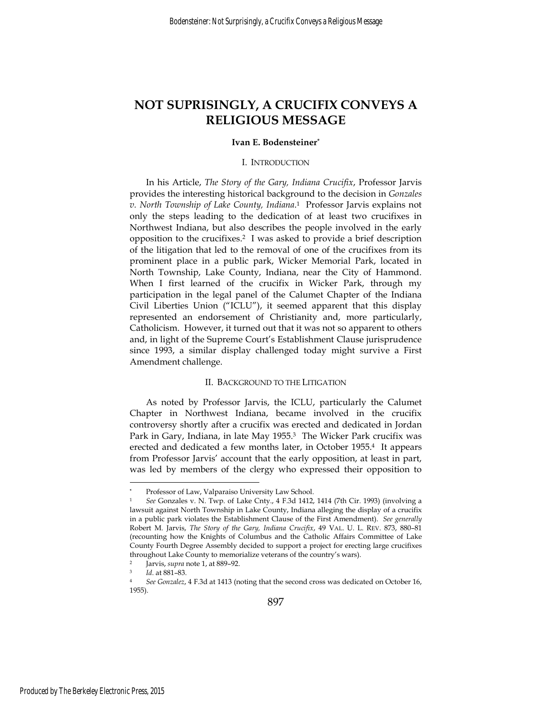## **NOT SUPRISINGLY, A CRUCIFIX CONVEYS A RELIGIOUS MESSAGE**

#### **Ivan E. Bodensteiner\***

#### I. INTRODUCTION

In his Article, *The Story of the Gary, Indiana Crucifix*, Professor Jarvis provides the interesting historical background to the decision in *Gonzales v. North Township of Lake County, Indiana*. 1 Professor Jarvis explains not only the steps leading to the dedication of at least two crucifixes in Northwest Indiana, but also describes the people involved in the early opposition to the crucifixes.2 I was asked to provide a brief description of the litigation that led to the removal of one of the crucifixes from its prominent place in a public park, Wicker Memorial Park, located in North Township, Lake County, Indiana, near the City of Hammond. When I first learned of the crucifix in Wicker Park, through my participation in the legal panel of the Calumet Chapter of the Indiana Civil Liberties Union ("ICLU"), it seemed apparent that this display represented an endorsement of Christianity and, more particularly, Catholicism. However, it turned out that it was not so apparent to others and, in light of the Supreme Court's Establishment Clause jurisprudence since 1993, a similar display challenged today might survive a First Amendment challenge.

#### II. BACKGROUND TO THE LITIGATION

As noted by Professor Jarvis, the ICLU, particularly the Calumet Chapter in Northwest Indiana, became involved in the crucifix controversy shortly after a crucifix was erected and dedicated in Jordan Park in Gary, Indiana, in late May 1955.<sup>3</sup> The Wicker Park crucifix was erected and dedicated a few months later, in October 1955.4 It appears from Professor Jarvis' account that the early opposition, at least in part, was led by members of the clergy who expressed their opposition to

**<sup>\*</sup>** Professor of Law, Valparaiso University Law School.

<sup>1</sup> *See* Gonzales v. N. Twp. of Lake Cnty., 4 F.3d 1412, 1414 (7th Cir. 1993) (involving a lawsuit against North Township in Lake County, Indiana alleging the display of a crucifix in a public park violates the Establishment Clause of the First Amendment). *See generally*  Robert M. Jarvis, *The Story of the Gary, Indiana Crucifix*, 49 VAL. U. L. REV. 873, 880–81 (recounting how the Knights of Columbus and the Catholic Affairs Committee of Lake County Fourth Degree Assembly decided to support a project for erecting large crucifixes throughout Lake County to memorialize veterans of the country's wars).

<sup>2</sup> Jarvis, *supra* note 1, at 889–92. 3 *Id*. at 881–83. 4 *See Gonzalez*, 4 F.3d at 1413 (noting that the second cross was dedicated on October 16, 1955).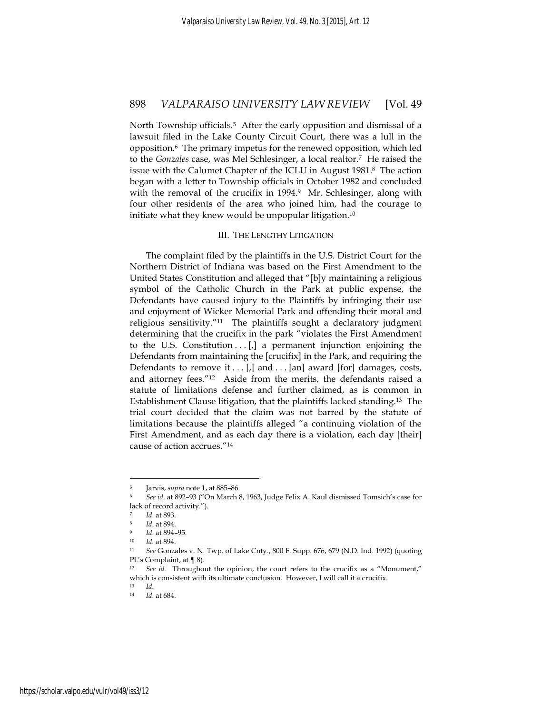North Township officials.<sup>5</sup> After the early opposition and dismissal of a lawsuit filed in the Lake County Circuit Court, there was a lull in the opposition.6 The primary impetus for the renewed opposition, which led to the *Gonzales* case, was Mel Schlesinger, a local realtor.7 He raised the issue with the Calumet Chapter of the ICLU in August 1981.8 The action began with a letter to Township officials in October 1982 and concluded with the removal of the crucifix in 1994.<sup>9</sup> Mr. Schlesinger, along with four other residents of the area who joined him, had the courage to initiate what they knew would be unpopular litigation.<sup>10</sup>

#### III. THE LENGTHY LITIGATION

The complaint filed by the plaintiffs in the U.S. District Court for the Northern District of Indiana was based on the First Amendment to the United States Constitution and alleged that "[b]y maintaining a religious symbol of the Catholic Church in the Park at public expense, the Defendants have caused injury to the Plaintiffs by infringing their use and enjoyment of Wicker Memorial Park and offending their moral and religious sensitivity."11 The plaintiffs sought a declaratory judgment determining that the crucifix in the park "violates the First Amendment to the U.S. Constitution  $\ldots$  [,] a permanent injunction enjoining the Defendants from maintaining the [crucifix] in the Park, and requiring the Defendants to remove it  $\ldots$  [,] and  $\ldots$  [an] award [for] damages, costs, and attorney fees."12 Aside from the merits, the defendants raised a statute of limitations defense and further claimed, as is common in Establishment Clause litigation, that the plaintiffs lacked standing.13 The trial court decided that the claim was not barred by the statute of limitations because the plaintiffs alleged "a continuing violation of the First Amendment, and as each day there is a violation, each day [their] cause of action accrues."14

<sup>5</sup> Jarvis, *supra* note 1, at 885–86. 6 *See id*. at 892–93 ("On March 8, 1963, Judge Felix A. Kaul dismissed Tomsich's case for lack of record activity.").

<sup>7</sup> *Id*. at 893. 8 *Id*. at 894. 9 *Id*. at 894–95. 10 *Id.* at 894. 11 *See* Gonzales v. N. Twp. of Lake Cnty., 800 F. Supp. 676, 679 (N.D. Ind. 1992) (quoting Pl.'s Complaint, at ¶ 8).

<sup>12</sup> *See id.* Throughout the opinion, the court refers to the crucifix as a "Monument," which is consistent with its ultimate conclusion. However, I will call it a crucifix.

<sup>13</sup> *Id*. 14 *Id*. at 684.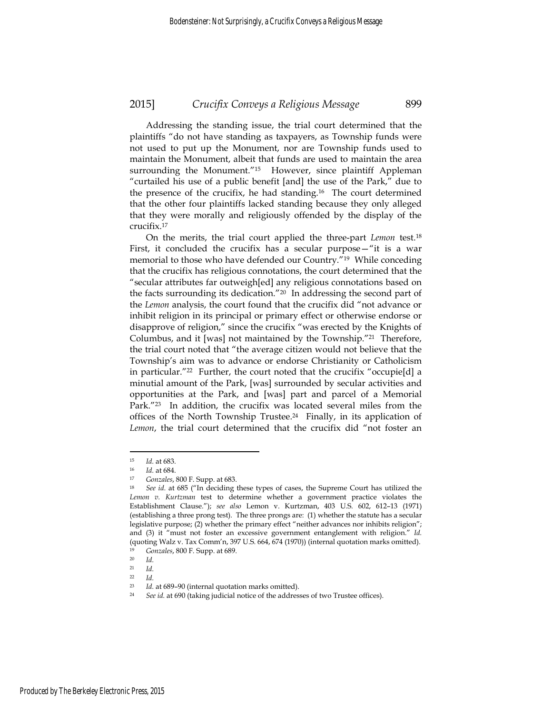Addressing the standing issue, the trial court determined that the plaintiffs "do not have standing as taxpayers, as Township funds were not used to put up the Monument, nor are Township funds used to maintain the Monument, albeit that funds are used to maintain the area surrounding the Monument."<sup>15</sup> However, since plaintiff Appleman "curtailed his use of a public benefit [and] the use of the Park," due to the presence of the crucifix, he had standing.<sup>16</sup> The court determined that the other four plaintiffs lacked standing because they only alleged that they were morally and religiously offended by the display of the crucifix.17

On the merits, the trial court applied the three-part *Lemon* test.18 First, it concluded the crucifix has a secular purpose—"it is a war memorial to those who have defended our Country."19 While conceding that the crucifix has religious connotations, the court determined that the "secular attributes far outweigh[ed] any religious connotations based on the facts surrounding its dedication."20 In addressing the second part of the *Lemon* analysis, the court found that the crucifix did "not advance or inhibit religion in its principal or primary effect or otherwise endorse or disapprove of religion," since the crucifix "was erected by the Knights of Columbus, and it [was] not maintained by the Township."21 Therefore, the trial court noted that "the average citizen would not believe that the Township's aim was to advance or endorse Christianity or Catholicism in particular."22 Further, the court noted that the crucifix "occupie[d] a minutial amount of the Park, [was] surrounded by secular activities and opportunities at the Park, and [was] part and parcel of a Memorial Park."<sup>23</sup> In addition, the crucifix was located several miles from the offices of the North Township Trustee.24 Finally, in its application of *Lemon*, the trial court determined that the crucifix did "not foster an

<sup>15</sup> *Id.* at 683.<br>
16 *Id.* at 684.<br>
17 *Gonzales*, 800 F. Supp. at 683.<br>
18 *See id.* at 685 ("In deciding these types of cases, the Supreme Court has utilized the *Lemon v. Kurtzman* test to determine whether a government practice violates the Establishment Clause."); *see also* Lemon v. Kurtzman, 403 U.S. 602, 612–13 (1971) (establishing a three prong test). The three prongs are: (1) whether the statute has a secular legislative purpose; (2) whether the primary effect "neither advances nor inhibits religion"; and (3) it "must not foster an excessive government entanglement with religion." *Id.* (quoting Walz v. Tax Comm'n, 397 U.S. 664, 674 (1970)) (internal quotation marks omitted). <sup>19</sup> *Gonzales*, 800 F. Supp. at 689. 20 *Id.* 

 $\frac{21}{22}$  *Id.* 

 $\frac{22}{23}$  *Id.* 

*Id.* at 689–90 (internal quotation marks omitted).<br>*See id.* at 690 (taking judicial notice of the addresses of two Trustee offices).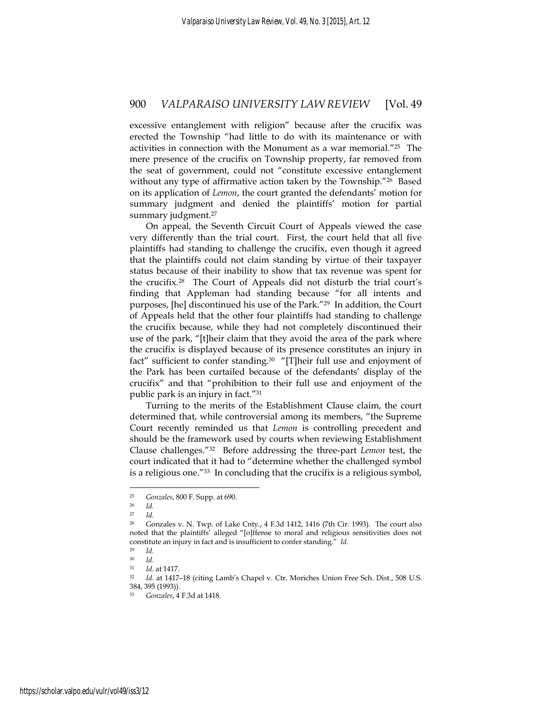excessive entanglement with religion" because after the crucifix was erected the Township "had little to do with its maintenance or with activities in connection with the Monument as a war memorial."25 The mere presence of the crucifix on Township property, far removed from the seat of government, could not "constitute excessive entanglement without any type of affirmative action taken by the Township."26 Based on its application of *Lemon*, the court granted the defendants' motion for summary judgment and denied the plaintiffs' motion for partial summary judgment.<sup>27</sup>

On appeal, the Seventh Circuit Court of Appeals viewed the case very differently than the trial court. First, the court held that all five plaintiffs had standing to challenge the crucifix, even though it agreed that the plaintiffs could not claim standing by virtue of their taxpayer status because of their inability to show that tax revenue was spent for the crucifix.28 The Court of Appeals did not disturb the trial court's finding that Appleman had standing because "for all intents and purposes, [he] discontinued his use of the Park."29 In addition, the Court of Appeals held that the other four plaintiffs had standing to challenge the crucifix because, while they had not completely discontinued their use of the park, "[t]heir claim that they avoid the area of the park where the crucifix is displayed because of its presence constitutes an injury in fact" sufficient to confer standing.<sup>30</sup> "[T]heir full use and enjoyment of the Park has been curtailed because of the defendants' display of the crucifix" and that "prohibition to their full use and enjoyment of the public park is an injury in fact."31

Turning to the merits of the Establishment Clause claim, the court determined that, while controversial among its members, "the Supreme Court recently reminded us that *Lemon* is controlling precedent and should be the framework used by courts when reviewing Establishment Clause challenges."32 Before addressing the three-part *Lemon* test, the court indicated that it had to "determine whether the challenged symbol is a religious one."33 In concluding that the crucifix is a religious symbol,

<u>.</u>

<sup>25</sup> *Gonzales*, 800 F. Supp. at 690. 26 *Id.*

<sup>27</sup> *Id.*

<sup>28</sup> Gonzales v. N. Twp. of Lake Cnty., 4 F.3d 1412, 1416 (7th Cir. 1993). The court also noted that the plaintiffs' alleged "[o]ffense to moral and religious sensitivities does not constitute an injury in fact and is insufficient to confer standing." *Id*. 29 *Id.*

<sup>30</sup> *Id.*

<sup>31</sup> *Id*. at 1417. 32 *Id.* at 1417–18 (citing Lamb's Chapel v. Ctr. Moriches Union Free Sch. Dist., 508 U.S. 384, 395 (1993)).

<sup>33</sup> *Gonzales*, 4 F.3d at 1418.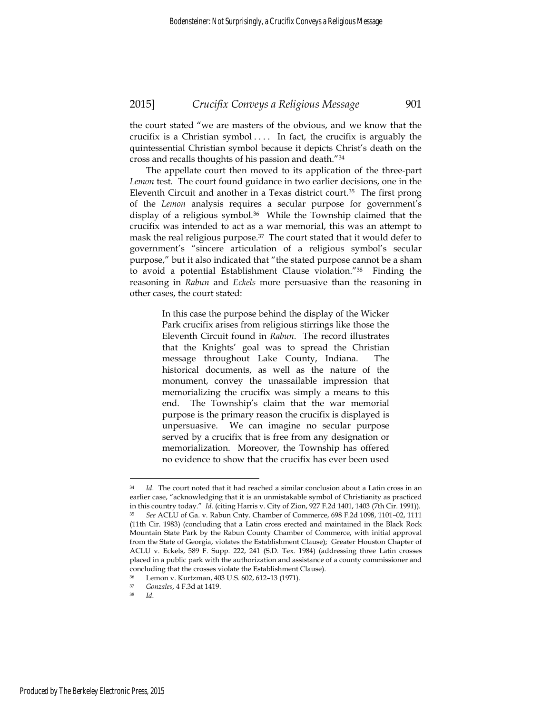the court stated "we are masters of the obvious, and we know that the crucifix is a Christian symbol . . . . In fact, the crucifix is arguably the quintessential Christian symbol because it depicts Christ's death on the cross and recalls thoughts of his passion and death."34

The appellate court then moved to its application of the three-part *Lemon* test. The court found guidance in two earlier decisions, one in the Eleventh Circuit and another in a Texas district court.35 The first prong of the *Lemon* analysis requires a secular purpose for government's display of a religious symbol.<sup>36</sup> While the Township claimed that the crucifix was intended to act as a war memorial, this was an attempt to mask the real religious purpose.37 The court stated that it would defer to government's "sincere articulation of a religious symbol's secular purpose," but it also indicated that "the stated purpose cannot be a sham to avoid a potential Establishment Clause violation."38 Finding the reasoning in *Rabun* and *Eckels* more persuasive than the reasoning in other cases, the court stated:

> In this case the purpose behind the display of the Wicker Park crucifix arises from religious stirrings like those the Eleventh Circuit found in *Rabun*. The record illustrates that the Knights' goal was to spread the Christian message throughout Lake County, Indiana. The historical documents, as well as the nature of the monument, convey the unassailable impression that memorializing the crucifix was simply a means to this end. The Township's claim that the war memorial purpose is the primary reason the crucifix is displayed is unpersuasive. We can imagine no secular purpose served by a crucifix that is free from any designation or memorialization. Moreover, the Township has offered no evidence to show that the crucifix has ever been used

<sup>34</sup> *Id*. The court noted that it had reached a similar conclusion about a Latin cross in an earlier case, "acknowledging that it is an unmistakable symbol of Christianity as practiced in this country today." *Id*. (citing Harris v. City of Zion, 927 F.2d 1401, 1403 (7th Cir. 1991)). 35 *See* ACLU of Ga. v. Rabun Cnty. Chamber of Commerce, 698 F.2d 1098, 1101–02, 1111 (11th Cir. 1983) (concluding that a Latin cross erected and maintained in the Black Rock Mountain State Park by the Rabun County Chamber of Commerce, with initial approval from the State of Georgia, violates the Establishment Clause); Greater Houston Chapter of ACLU v. Eckels, 589 F. Supp. 222, 241 (S.D. Tex. 1984) (addressing three Latin crosses placed in a public park with the authorization and assistance of a county commissioner and concluding that the crosses violate the Establishment Clause).

Lemon v. Kurtzman, 403 U.S. 602, 612-13 (1971).

<sup>37</sup> *Gonzales*, 4 F.3d at 1419. 38 *Id*.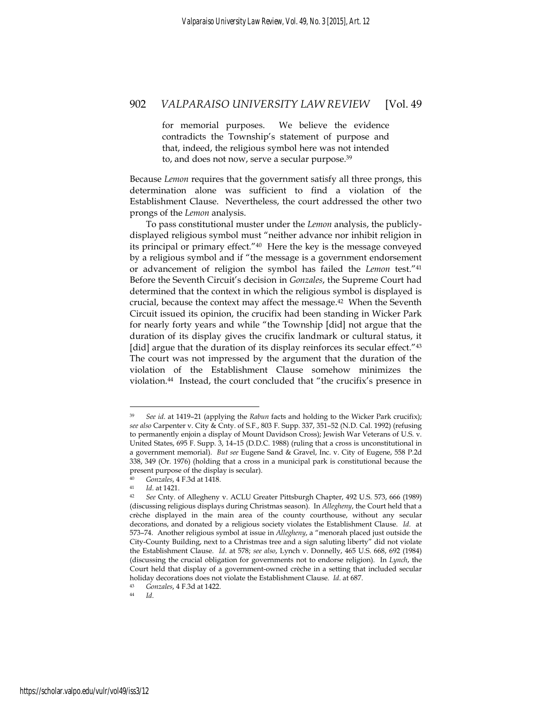for memorial purposes. We believe the evidence contradicts the Township's statement of purpose and that, indeed, the religious symbol here was not intended to, and does not now, serve a secular purpose.39

Because *Lemon* requires that the government satisfy all three prongs, this determination alone was sufficient to find a violation of the Establishment Clause. Nevertheless, the court addressed the other two prongs of the *Lemon* analysis.

To pass constitutional muster under the *Lemon* analysis, the publiclydisplayed religious symbol must "neither advance nor inhibit religion in its principal or primary effect."40 Here the key is the message conveyed by a religious symbol and if "the message is a government endorsement or advancement of religion the symbol has failed the *Lemon* test."41 Before the Seventh Circuit's decision in *Gonzales*, the Supreme Court had determined that the context in which the religious symbol is displayed is crucial, because the context may affect the message.<sup>42</sup> When the Seventh Circuit issued its opinion, the crucifix had been standing in Wicker Park for nearly forty years and while "the Township [did] not argue that the duration of its display gives the crucifix landmark or cultural status, it [did] argue that the duration of its display reinforces its secular effect."<sup>43</sup> The court was not impressed by the argument that the duration of the violation of the Establishment Clause somehow minimizes the violation.44 Instead, the court concluded that "the crucifix's presence in

<sup>39</sup> *See id*. at 1419–21 (applying the *Rabun* facts and holding to the Wicker Park crucifix); *see also* Carpenter v. City & Cnty. of S.F., 803 F. Supp. 337, 351–52 (N.D. Cal. 1992) (refusing to permanently enjoin a display of Mount Davidson Cross); Jewish War Veterans of U.S. v. United States, 695 F. Supp. 3, 14–15 (D.D.C. 1988) (ruling that a cross is unconstitutional in a government memorial). *But see* Eugene Sand & Gravel, Inc. v. City of Eugene, 558 P.2d 338, 349 (Or. 1976) (holding that a cross in a municipal park is constitutional because the present purpose of the display is secular).

<sup>40</sup> *Gonzales*, 4 F.3d at 1418. 41 *Id*. at 1421. 42 *See* Cnty. of Allegheny v. ACLU Greater Pittsburgh Chapter, 492 U.S. 573, 666 (1989) (discussing religious displays during Christmas season). In *Allegheny*, the Court held that a crèche displayed in the main area of the county courthouse, without any secular decorations, and donated by a religious society violates the Establishment Clause. *Id*. at 573–74. Another religious symbol at issue in *Allegheny*, a "menorah placed just outside the City-County Building, next to a Christmas tree and a sign saluting liberty" did not violate the Establishment Clause. *Id*. at 578; *see also*, Lynch v. Donnelly, 465 U.S. 668, 692 (1984) (discussing the crucial obligation for governments not to endorse religion). In *Lynch*, the Court held that display of a government-owned crèche in a setting that included secular holiday decorations does not violate the Establishment Clause. *Id*. at 687. 43 *Gonzales*, 4 F.3d at 1422. 44 *Id*.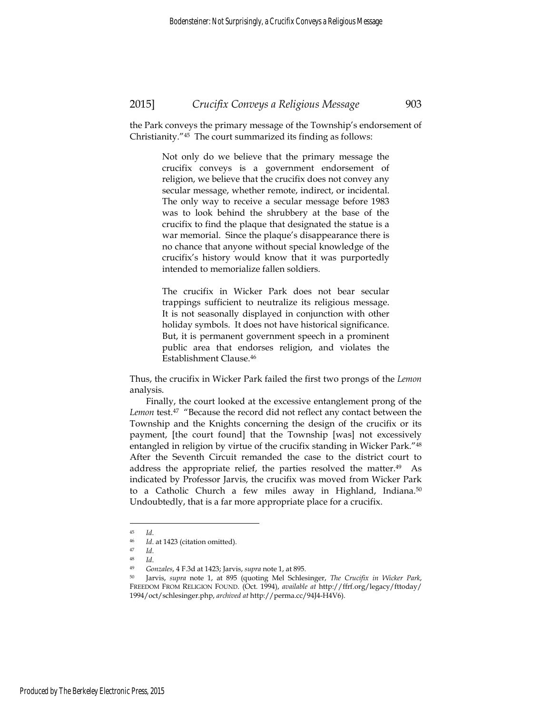the Park conveys the primary message of the Township's endorsement of Christianity."45 The court summarized its finding as follows:

> Not only do we believe that the primary message the crucifix conveys is a government endorsement of religion, we believe that the crucifix does not convey any secular message, whether remote, indirect, or incidental. The only way to receive a secular message before 1983 was to look behind the shrubbery at the base of the crucifix to find the plaque that designated the statue is a war memorial. Since the plaque's disappearance there is no chance that anyone without special knowledge of the crucifix's history would know that it was purportedly intended to memorialize fallen soldiers.

> The crucifix in Wicker Park does not bear secular trappings sufficient to neutralize its religious message. It is not seasonally displayed in conjunction with other holiday symbols. It does not have historical significance. But, it is permanent government speech in a prominent public area that endorses religion, and violates the Establishment Clause.46

Thus, the crucifix in Wicker Park failed the first two prongs of the *Lemon* analysis.

Finally, the court looked at the excessive entanglement prong of the Lemon test.<sup>47</sup> "Because the record did not reflect any contact between the Township and the Knights concerning the design of the crucifix or its payment, [the court found] that the Township [was] not excessively entangled in religion by virtue of the crucifix standing in Wicker Park."48 After the Seventh Circuit remanded the case to the district court to address the appropriate relief, the parties resolved the matter.49 As indicated by Professor Jarvis, the crucifix was moved from Wicker Park to a Catholic Church a few miles away in Highland, Indiana.<sup>50</sup> Undoubtedly, that is a far more appropriate place for a crucifix.

<u>.</u>

<sup>45</sup> *Id*. 46 *Id*. at 1423 (citation omitted). 47 *Id*. 48 *Id*. 49 *Gonzales*, 4 F.3d at 1423; Jarvis, *supra* note 1, at 895.

<sup>50</sup> Jarvis, *supra* note 1, at 895 (quoting Mel Schlesinger, *The Crucifix in Wicker Park*, FREEDOM FROM RELIGION FOUND. (Oct. 1994), *available at* http://ffrf.org/legacy/fttoday/ 1994/oct/schlesinger.php, *archived at* http://perma.cc/94J4-H4V6).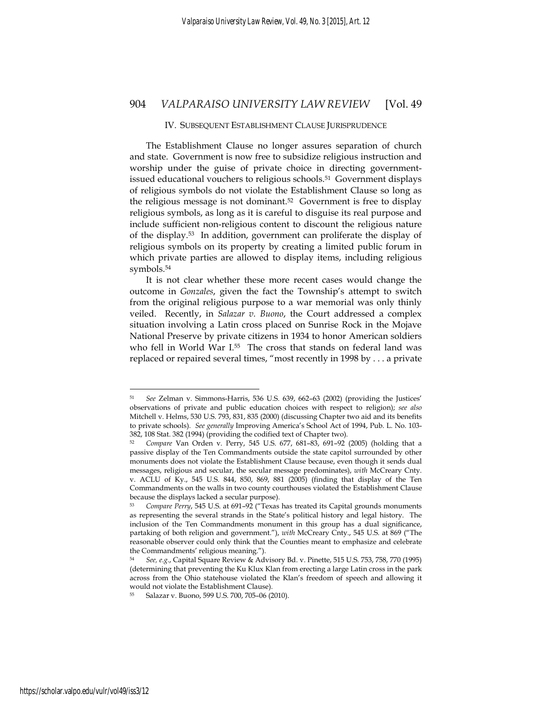#### IV. SUBSEQUENT ESTABLISHMENT CLAUSE JURISPRUDENCE

The Establishment Clause no longer assures separation of church and state. Government is now free to subsidize religious instruction and worship under the guise of private choice in directing governmentissued educational vouchers to religious schools.51 Government displays of religious symbols do not violate the Establishment Clause so long as the religious message is not dominant.52 Government is free to display religious symbols, as long as it is careful to disguise its real purpose and include sufficient non-religious content to discount the religious nature of the display.53 In addition, government can proliferate the display of religious symbols on its property by creating a limited public forum in which private parties are allowed to display items, including religious symbols.<sup>54</sup>

It is not clear whether these more recent cases would change the outcome in *Gonzales*, given the fact the Township's attempt to switch from the original religious purpose to a war memorial was only thinly veiled. Recently, in *Salazar v. Buono*, the Court addressed a complex situation involving a Latin cross placed on Sunrise Rock in the Mojave National Preserve by private citizens in 1934 to honor American soldiers who fell in World War I.55 The cross that stands on federal land was replaced or repaired several times, "most recently in 1998 by . . . a private

<sup>51</sup> *See* Zelman v. Simmons-Harris, 536 U.S. 639, 662–63 (2002) (providing the Justices' observations of private and public education choices with respect to religion); *see also* Mitchell v. Helms, 530 U.S. 793, 831, 835 (2000) (discussing Chapter two aid and its benefits to private schools). *See generally* Improving America's School Act of 1994, Pub. L. No. 103- 382, 108 Stat. 382 (1994) (providing the codified text of Chapter two).

<sup>52</sup> *Compare* Van Orden v. Perry, 545 U.S. 677, 681–83, 691–92 (2005) (holding that a passive display of the Ten Commandments outside the state capitol surrounded by other monuments does not violate the Establishment Clause because, even though it sends dual messages, religious and secular, the secular message predominates), *with* McCreary Cnty. v. ACLU of Ky., 545 U.S. 844, 850, 869, 881 (2005) (finding that display of the Ten Commandments on the walls in two county courthouses violated the Establishment Clause because the displays lacked a secular purpose).

<sup>53</sup> *Compare Perry*, 545 U.S. at 691–92 ("Texas has treated its Capital grounds monuments as representing the several strands in the State's political history and legal history. The inclusion of the Ten Commandments monument in this group has a dual significance, partaking of both religion and government."), *with* McCreary Cnty., 545 U.S. at 869 ("The reasonable observer could only think that the Counties meant to emphasize and celebrate the Commandments' religious meaning.").

<sup>54</sup> *See, e.g.*, Capital Square Review & Advisory Bd. v. Pinette, 515 U.S. 753, 758, 770 (1995) (determining that preventing the Ku Klux Klan from erecting a large Latin cross in the park across from the Ohio statehouse violated the Klan's freedom of speech and allowing it would not violate the Establishment Clause).

<sup>55</sup> Salazar v. Buono, 599 U.S. 700, 705–06 (2010).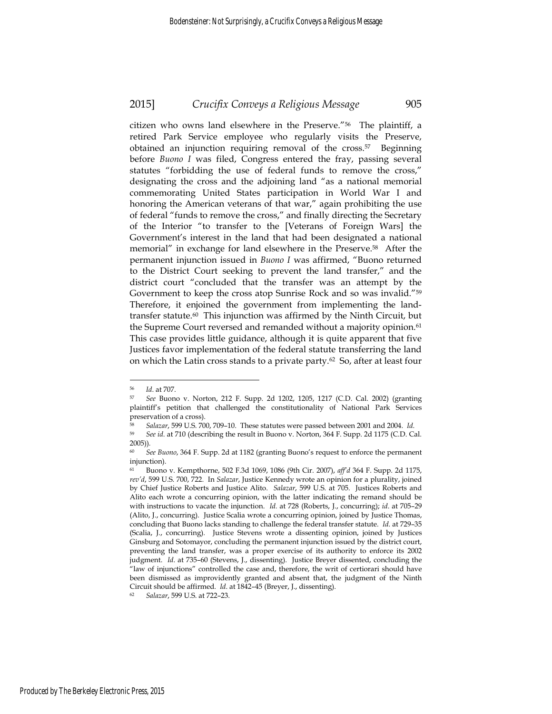citizen who owns land elsewhere in the Preserve."56 The plaintiff, a retired Park Service employee who regularly visits the Preserve, obtained an injunction requiring removal of the cross.57 Beginning before *Buono I* was filed, Congress entered the fray, passing several statutes "forbidding the use of federal funds to remove the cross," designating the cross and the adjoining land "as a national memorial commemorating United States participation in World War I and honoring the American veterans of that war," again prohibiting the use of federal "funds to remove the cross," and finally directing the Secretary of the Interior "to transfer to the [Veterans of Foreign Wars] the Government's interest in the land that had been designated a national memorial" in exchange for land elsewhere in the Preserve.58 After the permanent injunction issued in *Buono I* was affirmed, "Buono returned to the District Court seeking to prevent the land transfer," and the district court "concluded that the transfer was an attempt by the Government to keep the cross atop Sunrise Rock and so was invalid."59 Therefore, it enjoined the government from implementing the landtransfer statute.60 This injunction was affirmed by the Ninth Circuit, but the Supreme Court reversed and remanded without a majority opinion.<sup>61</sup> This case provides little guidance, although it is quite apparent that five Justices favor implementation of the federal statute transferring the land on which the Latin cross stands to a private party.62 So, after at least four

<u>.</u>

<sup>56</sup> *Id*. at 707. 57 *See* Buono v. Norton, 212 F. Supp. 2d 1202, 1205, 1217 (C.D. Cal. 2002) (granting plaintiff's petition that challenged the constitutionality of National Park Services preservation of a cross).

<sup>58</sup> *Salazar*, 599 U.S. 700, 709–10. These statutes were passed between 2001 and 2004. *Id*. 59 *See id*. at 710 (describing the result in Buono v. Norton, 364 F. Supp. 2d 1175 (C.D. Cal. 2005))*.*

See Buono, 364 F. Supp. 2d at 1182 (granting Buono's request to enforce the permanent injunction).

<sup>61</sup> Buono v. Kempthorne, 502 F.3d 1069, 1086 (9th Cir. 2007), *aff'd* 364 F. Supp. 2d 1175, *rev'd*, 599 U.S. 700, 722. In *Salazar*, Justice Kennedy wrote an opinion for a plurality, joined by Chief Justice Roberts and Justice Alito. *Salazar*, 599 U.S. at 705. Justices Roberts and Alito each wrote a concurring opinion, with the latter indicating the remand should be with instructions to vacate the injunction. *Id.* at 728 (Roberts, J., concurring); *id*. at 705–29 (Alito, J., concurring). Justice Scalia wrote a concurring opinion, joined by Justice Thomas, concluding that Buono lacks standing to challenge the federal transfer statute. *Id*. at 729–35 (Scalia, J., concurring). Justice Stevens wrote a dissenting opinion, joined by Justices Ginsburg and Sotomayor, concluding the permanent injunction issued by the district court, preventing the land transfer, was a proper exercise of its authority to enforce its 2002 judgment. *Id*. at 735–60 (Stevens, J., dissenting). Justice Breyer dissented, concluding the "law of injunctions" controlled the case and, therefore, the writ of certiorari should have been dismissed as improvidently granted and absent that, the judgment of the Ninth Circuit should be affirmed. *Id*. at 1842–45 (Breyer, J., dissenting). 62 *Salazar*, 599 U.S. at 722–23.